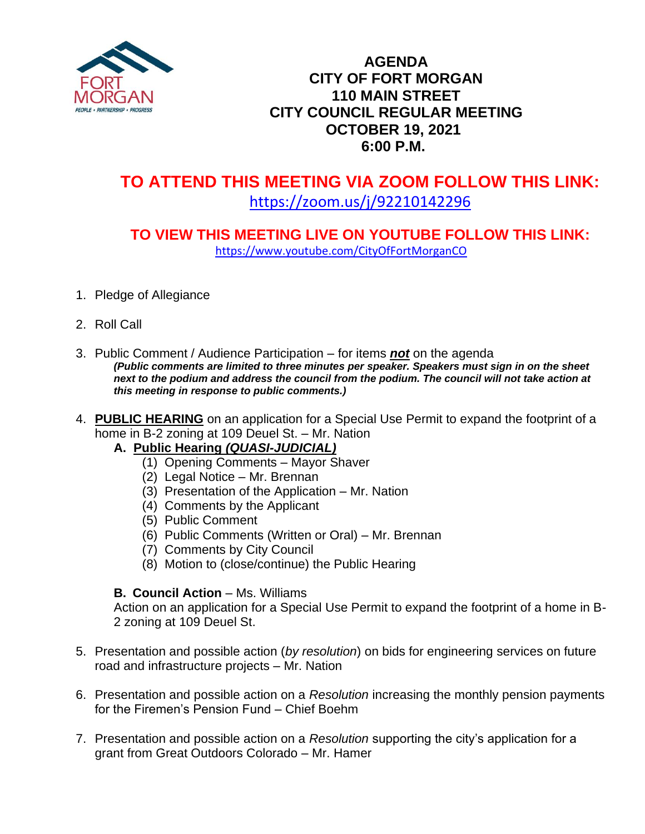

# **AGENDA CITY OF FORT MORGAN 110 MAIN STREET CITY COUNCIL REGULAR MEETING OCTOBER 19, 2021 6:00 P.M.**

# **TO ATTEND THIS MEETING VIA ZOOM FOLLOW THIS LINK:**

# <https://zoom.us/j/92210142296>

## **TO VIEW THIS MEETING LIVE ON YOUTUBE FOLLOW THIS LINK:** <https://www.youtube.com/CityOfFortMorganCO>

- 1. Pledge of Allegiance
- 2. Roll Call
- 3. Public Comment / Audience Participation for items *not* on the agenda *(Public comments are limited to three minutes per speaker. Speakers must sign in on the sheet*  next to the podium and address the council from the podium. The council will not take action at *this meeting in response to public comments.)*
- 4. **PUBLIC HEARING** on an application for a Special Use Permit to expand the footprint of a home in B-2 zoning at 109 Deuel St. – Mr. Nation
	- **A.****Public Hearing** *(QUASI-JUDICIAL)*
		- (1) Opening Comments Mayor Shaver
		- (2) Legal Notice Mr. Brennan
		- (3) Presentation of the Application Mr. Nation
		- (4) Comments by the Applicant
		- (5) Public Comment
		- (6) Public Comments (Written or Oral) Mr. Brennan
		- (7) Comments by City Council
		- (8) Motion to (close/continue) the Public Hearing

#### **B. Council Action** – Ms. Williams

Action on an application for a Special Use Permit to expand the footprint of a home in B-2 zoning at 109 Deuel St.

- 5. Presentation and possible action (*by resolution*) on bids for engineering services on future road and infrastructure projects – Mr. Nation
- 6. Presentation and possible action on a *Resolution* increasing the monthly pension payments for the Firemen's Pension Fund – Chief Boehm
- 7. Presentation and possible action on a *Resolution* supporting the city's application for a grant from Great Outdoors Colorado – Mr. Hamer